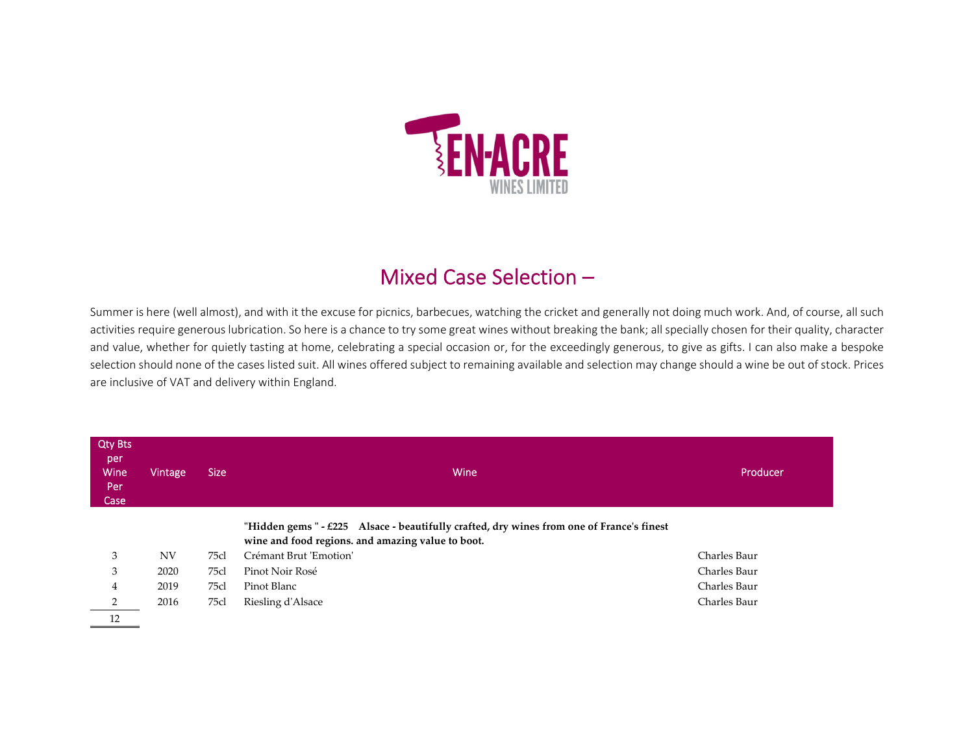

## Mixed Case Selection –

Summer is here (well almost), and with it the excuse for picnics, barbecues, watching the cricket and generally not doing much work. And, of course, all such activities require generous lubrication. So here is <sup>a</sup> chance to try some great wines without breaking the bank; all specially chosen for their quality, character and value, whether for quietly tasting at home, celebrating <sup>a</sup> special occasion or, for the exceedingly generous, to give as gifts. I can also make <sup>a</sup> bespoke selection should none of the cases listed suit. All wines offered subject to remaining available and selection may change should <sup>a</sup> wine be out of stock. Prices are inclusive of VAT and delivery within England.

| <b>Qty Bts</b><br>per<br>Wine<br>Per<br>Case | Vintage   | <b>Size</b> | Wine                                                                                                                                           | Producer     |
|----------------------------------------------|-----------|-------------|------------------------------------------------------------------------------------------------------------------------------------------------|--------------|
|                                              |           |             | "Hidden gems " - £225 Alsace - beautifully crafted, dry wines from one of France's finest<br>wine and food regions. and amazing value to boot. |              |
| 3                                            | <b>NV</b> | 75cl        | Crémant Brut 'Emotion'                                                                                                                         | Charles Baur |
| 3                                            | 2020      | 75cl        | Pinot Noir Rosé                                                                                                                                | Charles Baur |
| 4                                            | 2019      | 75cl        | Pinot Blanc                                                                                                                                    | Charles Baur |
| 2                                            | 2016      | 75cl        | Riesling d'Alsace                                                                                                                              | Charles Baur |
| 12                                           |           |             |                                                                                                                                                |              |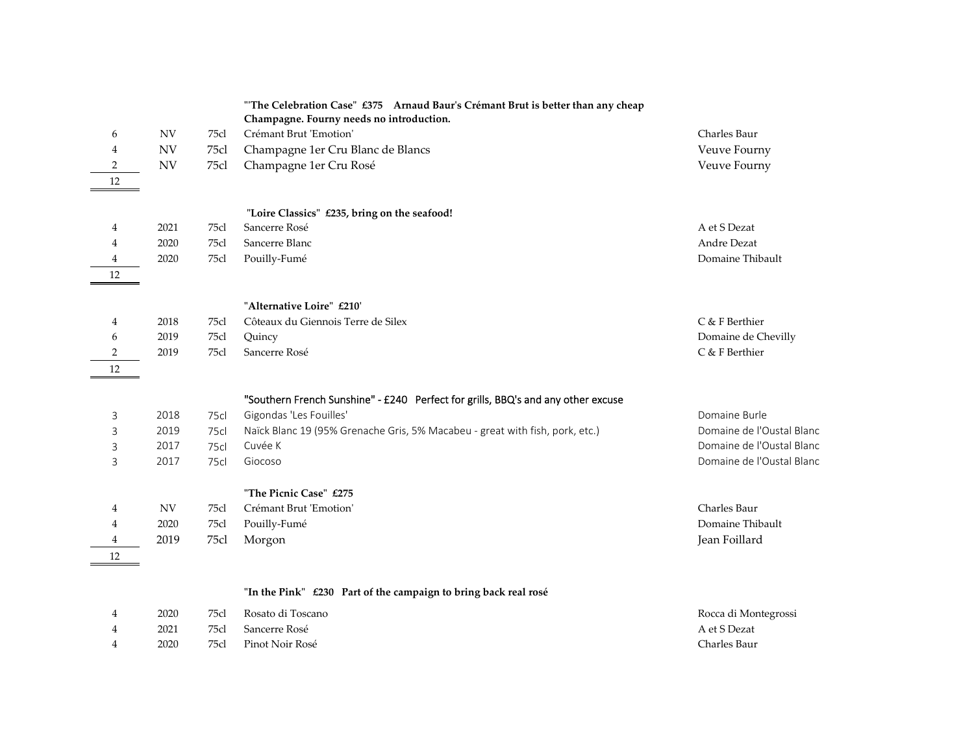|                |                          |             | "The Celebration Case" £375 Arnaud Baur's Crémant Brut is better than any cheap  |                           |
|----------------|--------------------------|-------------|----------------------------------------------------------------------------------|---------------------------|
|                |                          |             | Champagne. Fourny needs no introduction.                                         |                           |
| 6              | $\ensuremath{\text{NV}}$ | 75cl        | Crémant Brut 'Emotion'                                                           | Charles Baur              |
| 4              | <b>NV</b>                | 75cl        | Champagne 1er Cru Blanc de Blancs                                                | Veuve Fourny              |
| $\overline{2}$ | <b>NV</b>                | 75cl        | Champagne 1er Cru Rosé                                                           | Veuve Fourny              |
| 12             |                          |             |                                                                                  |                           |
|                |                          |             |                                                                                  |                           |
|                |                          |             | "Loire Classics" £235, bring on the seafood!                                     |                           |
| 4              | 2021                     | 75cl        | Sancerre Rosé                                                                    | A et S Dezat              |
| 4              | 2020                     | 75cl        | Sancerre Blanc                                                                   | <b>Andre Dezat</b>        |
| 4              | 2020                     | 75cl        | Pouilly-Fumé                                                                     | Domaine Thibault          |
| 12             |                          |             |                                                                                  |                           |
|                |                          |             | "Alternative Loire" £210'                                                        |                           |
| 4              | 2018                     | 75cl        | Côteaux du Giennois Terre de Silex                                               | C & F Berthier            |
| 6              | 2019                     | 75cl        | Quincy                                                                           | Domaine de Chevilly       |
| $\sqrt{2}$     | 2019                     | 75cl        | Sancerre Rosé                                                                    | C & F Berthier            |
| 12             |                          |             |                                                                                  |                           |
|                |                          |             |                                                                                  |                           |
|                |                          |             | "Southern French Sunshine" - £240 Perfect for grills, BBQ's and any other excuse |                           |
| 3              | 2018                     | <b>75cl</b> | Gigondas 'Les Fouilles'                                                          | Domaine Burle             |
| 3              | 2019                     | <b>75cl</b> | Naïck Blanc 19 (95% Grenache Gris, 5% Macabeu - great with fish, pork, etc.)     | Domaine de l'Oustal Blanc |
| 3              | 2017                     | <b>75cl</b> | Cuvée K                                                                          | Domaine de l'Oustal Blanc |
| 3              | 2017                     | 75cl        | Giocoso                                                                          | Domaine de l'Oustal Blanc |
|                |                          |             | "The Picnic Case" £275                                                           |                           |
|                | <b>NV</b>                | 75cl        | Crémant Brut 'Emotion'                                                           | Charles Baur              |
| 4<br>4         | 2020                     | 75cl        | Pouilly-Fumé                                                                     | Domaine Thibault          |
| 4              | 2019                     | 75cl        | Morgon                                                                           | Jean Foillard             |
|                |                          |             |                                                                                  |                           |
| 12             |                          |             |                                                                                  |                           |
|                |                          |             | "In the Pink" £230 Part of the campaign to bring back real rosé                  |                           |
| 4              | 2020                     | 75cl        | Rosato di Toscano                                                                | Rocca di Montegrossi      |
| 4              | 2021                     | 75cl        | Sancerre Rosé                                                                    | A et S Dezat              |
| 4              | 2020                     | 75cl        | Pinot Noir Rosé                                                                  | Charles Baur              |
|                |                          |             |                                                                                  |                           |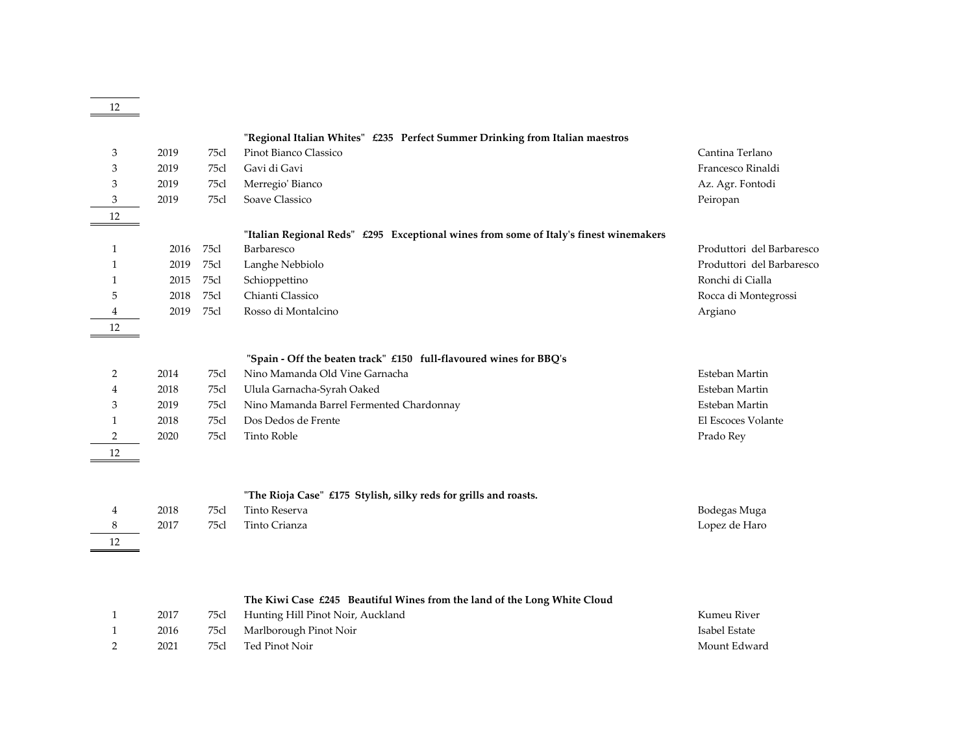|                |      |      | "Regional Italian Whites" £235 Perfect Summer Drinking from Italian maestros          |                           |
|----------------|------|------|---------------------------------------------------------------------------------------|---------------------------|
| 3              | 2019 | 75cl | Pinot Bianco Classico                                                                 | Cantina Terlano           |
| 3              | 2019 | 75cl | Gavi di Gavi                                                                          | Francesco Rinaldi         |
| 3              | 2019 | 75cl | Merregio' Bianco                                                                      | Az. Agr. Fontodi          |
| 3              | 2019 | 75cl | Soave Classico                                                                        | Peiropan                  |
| 12             |      |      |                                                                                       |                           |
|                |      |      | "Italian Regional Reds" £295 Exceptional wines from some of Italy's finest winemakers |                           |
| 1              | 2016 | 75cl | Barbaresco                                                                            | Produttori del Barbaresco |
| 1              | 2019 | 75cl | Langhe Nebbiolo                                                                       | Produttori del Barbaresco |
| 1              | 2015 | 75cl | Schioppettino                                                                         | Ronchi di Cialla          |
| 5              | 2018 | 75cl | Chianti Classico                                                                      | Rocca di Montegrossi      |
| 4              | 2019 | 75cl | Rosso di Montalcino                                                                   | Argiano                   |
| 12             |      |      |                                                                                       |                           |
|                |      |      |                                                                                       |                           |
|                |      |      | "Spain - Off the beaten track" £150 full-flavoured wines for BBQ's                    |                           |
| 2              | 2014 | 75cl | Nino Mamanda Old Vine Garnacha                                                        | Esteban Martin            |
| 4              | 2018 | 75cl | Ulula Garnacha-Syrah Oaked                                                            | Esteban Martin            |
| 3              | 2019 | 75cl | Nino Mamanda Barrel Fermented Chardonnay                                              | Esteban Martin            |
| $\mathbf{1}$   | 2018 | 75cl | Dos Dedos de Frente                                                                   | El Escoces Volante        |
| $\overline{2}$ | 2020 | 75cl | <b>Tinto Roble</b>                                                                    | Prado Rey                 |
| 12             |      |      |                                                                                       |                           |
|                |      |      |                                                                                       |                           |
|                |      |      | "The Rioja Case" £175 Stylish, silky reds for grills and roasts.                      |                           |
| 4              | 2018 | 75cl | <b>Tinto Reserva</b>                                                                  | Bodegas Muga              |
| 8              | 2017 | 75cl | Tinto Crianza                                                                         | Lopez de Haro             |
| 12             |      |      |                                                                                       |                           |
|                |      |      |                                                                                       |                           |
|                |      |      | The Kiwi Case $\pounds 245$ Beautiful Wines from the land of the Long White Cloud     |                           |
| 1              | 2017 | 75cl | Hunting Hill Pinot Noir, Auckland                                                     | Kumeu River               |
| 1              | 2016 | 75cl | Marlborough Pinot Noir                                                                | Isabel Estate             |
| $\overline{2}$ | 2021 | 75cl | Ted Pinot Noir                                                                        | Mount Edward              |

12